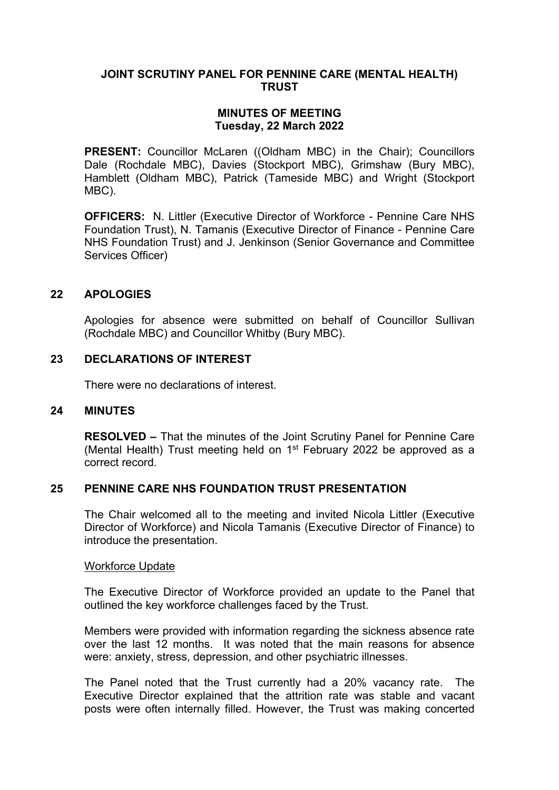## **JOINT SCRUTINY PANEL FOR PENNINE CARE (MENTAL HEALTH) TRUST**

# **MINUTES OF MEETING Tuesday, 22 March 2022**

**PRESENT:** Councillor McLaren ((Oldham MBC) in the Chair): Councillors Dale (Rochdale MBC), Davies (Stockport MBC), Grimshaw (Bury MBC), Hamblett (Oldham MBC), Patrick (Tameside MBC) and Wright (Stockport MBC).

**OFFICERS:** N. Littler (Executive Director of Workforce - Pennine Care NHS Foundation Trust), N. Tamanis (Executive Director of Finance - Pennine Care NHS Foundation Trust) and J. Jenkinson (Senior Governance and Committee Services Officer)

### **22 APOLOGIES**

Apologies for absence were submitted on behalf of Councillor Sullivan (Rochdale MBC) and Councillor Whitby (Bury MBC).

### **23 DECLARATIONS OF INTEREST**

There were no declarations of interest.

#### **24 MINUTES**

**RESOLVED –** That the minutes of the Joint Scrutiny Panel for Pennine Care (Mental Health) Trust meeting held on 1<sup>st</sup> February 2022 be approved as a correct record.

### **25 PENNINE CARE NHS FOUNDATION TRUST PRESENTATION**

The Chair welcomed all to the meeting and invited Nicola Littler (Executive Director of Workforce) and Nicola Tamanis (Executive Director of Finance) to introduce the presentation.

#### Workforce Update

The Executive Director of Workforce provided an update to the Panel that outlined the key workforce challenges faced by the Trust.

Members were provided with information regarding the sickness absence rate over the last 12 months. It was noted that the main reasons for absence were: anxiety, stress, depression, and other psychiatric illnesses.

The Panel noted that the Trust currently had a 20% vacancy rate. The Executive Director explained that the attrition rate was stable and vacant posts were often internally filled. However, the Trust was making concerted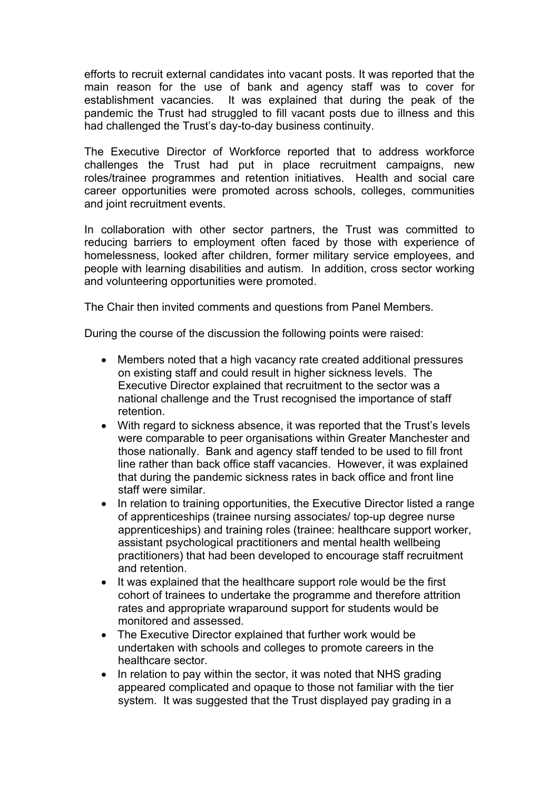efforts to recruit external candidates into vacant posts. It was reported that the main reason for the use of bank and agency staff was to cover for establishment vacancies. It was explained that during the peak of the pandemic the Trust had struggled to fill vacant posts due to illness and this had challenged the Trust's day-to-day business continuity.

The Executive Director of Workforce reported that to address workforce challenges the Trust had put in place recruitment campaigns, new roles/trainee programmes and retention initiatives. Health and social care career opportunities were promoted across schools, colleges, communities and joint recruitment events.

In collaboration with other sector partners, the Trust was committed to reducing barriers to employment often faced by those with experience of homelessness, looked after children, former military service employees, and people with learning disabilities and autism. In addition, cross sector working and volunteering opportunities were promoted.

The Chair then invited comments and questions from Panel Members.

During the course of the discussion the following points were raised:

- Members noted that a high vacancy rate created additional pressures on existing staff and could result in higher sickness levels. The Executive Director explained that recruitment to the sector was a national challenge and the Trust recognised the importance of staff retention.
- With regard to sickness absence, it was reported that the Trust's levels were comparable to peer organisations within Greater Manchester and those nationally. Bank and agency staff tended to be used to fill front line rather than back office staff vacancies. However, it was explained that during the pandemic sickness rates in back office and front line staff were similar.
- In relation to training opportunities, the Executive Director listed a range of apprenticeships (trainee nursing associates/ top-up degree nurse apprenticeships) and training roles (trainee: healthcare support worker, assistant psychological practitioners and mental health wellbeing practitioners) that had been developed to encourage staff recruitment and retention.
- It was explained that the healthcare support role would be the first cohort of trainees to undertake the programme and therefore attrition rates and appropriate wraparound support for students would be monitored and assessed.
- The Executive Director explained that further work would be undertaken with schools and colleges to promote careers in the healthcare sector.
- In relation to pay within the sector, it was noted that NHS grading appeared complicated and opaque to those not familiar with the tier system. It was suggested that the Trust displayed pay grading in a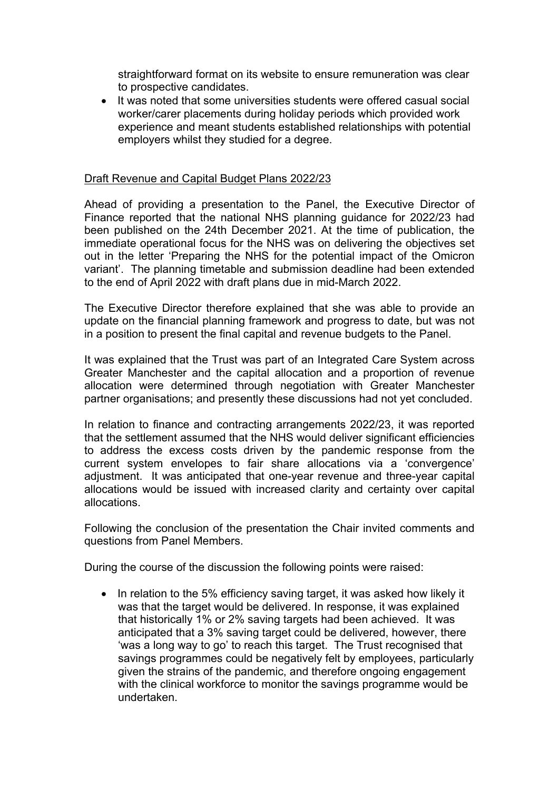straightforward format on its website to ensure remuneration was clear to prospective candidates.

• It was noted that some universities students were offered casual social worker/carer placements during holiday periods which provided work experience and meant students established relationships with potential employers whilst they studied for a degree.

## Draft Revenue and Capital Budget Plans 2022/23

Ahead of providing a presentation to the Panel, the Executive Director of Finance reported that the national NHS planning guidance for 2022/23 had been published on the 24th December 2021. At the time of publication, the immediate operational focus for the NHS was on delivering the objectives set out in the letter 'Preparing the NHS for the potential impact of the Omicron variant'. The planning timetable and submission deadline had been extended to the end of April 2022 with draft plans due in mid-March 2022.

The Executive Director therefore explained that she was able to provide an update on the financial planning framework and progress to date, but was not in a position to present the final capital and revenue budgets to the Panel.

It was explained that the Trust was part of an Integrated Care System across Greater Manchester and the capital allocation and a proportion of revenue allocation were determined through negotiation with Greater Manchester partner organisations; and presently these discussions had not yet concluded.

In relation to finance and contracting arrangements 2022/23, it was reported that the settlement assumed that the NHS would deliver significant efficiencies to address the excess costs driven by the pandemic response from the current system envelopes to fair share allocations via a 'convergence' adjustment. It was anticipated that one-year revenue and three-year capital allocations would be issued with increased clarity and certainty over capital allocations.

Following the conclusion of the presentation the Chair invited comments and questions from Panel Members.

During the course of the discussion the following points were raised:

• In relation to the 5% efficiency saving target, it was asked how likely it was that the target would be delivered. In response, it was explained that historically 1% or 2% saving targets had been achieved. It was anticipated that a 3% saving target could be delivered, however, there 'was a long way to go' to reach this target. The Trust recognised that savings programmes could be negatively felt by employees, particularly given the strains of the pandemic, and therefore ongoing engagement with the clinical workforce to monitor the savings programme would be undertaken.